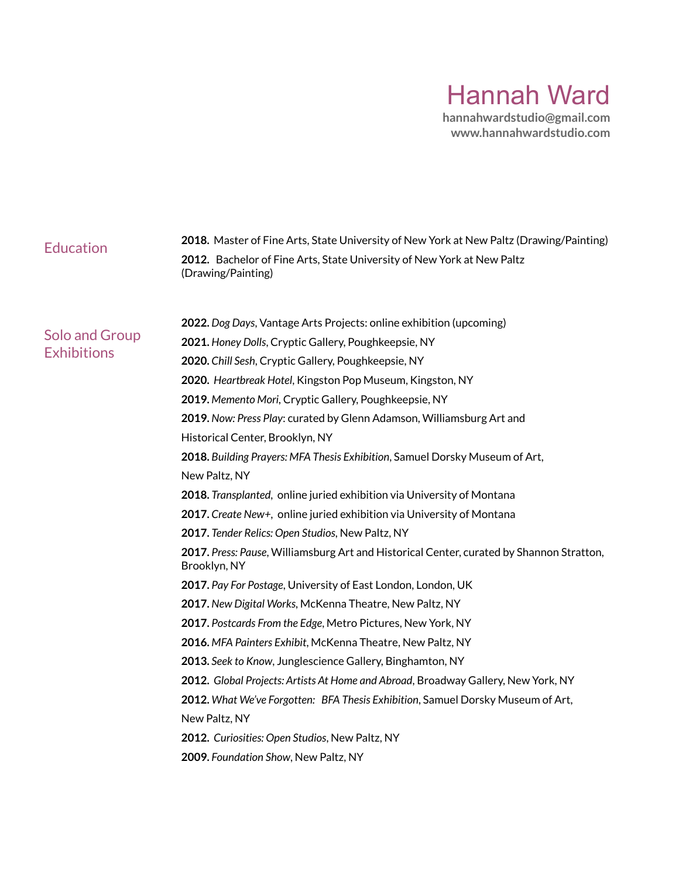# Hannah Ward

**hannahwardstudio@gmail.com www.hannahwardstudio.com**

| <b>Education</b>                            | 2018. Master of Fine Arts, State University of New York at New Paltz (Drawing/Painting)                  |
|---------------------------------------------|----------------------------------------------------------------------------------------------------------|
|                                             | 2012. Bachelor of Fine Arts, State University of New York at New Paltz<br>(Drawing/Painting)             |
|                                             |                                                                                                          |
| <b>Solo and Group</b><br><b>Exhibitions</b> | 2022. Dog Days, Vantage Arts Projects: online exhibition (upcoming)                                      |
|                                             | 2021. Honey Dolls, Cryptic Gallery, Poughkeepsie, NY                                                     |
|                                             | 2020. Chill Sesh, Cryptic Gallery, Poughkeepsie, NY                                                      |
|                                             | 2020. Heartbreak Hotel, Kingston Pop Museum, Kingston, NY                                                |
|                                             | 2019. Memento Mori, Cryptic Gallery, Poughkeepsie, NY                                                    |
|                                             | 2019. Now: Press Play: curated by Glenn Adamson, Williamsburg Art and                                    |
|                                             | Historical Center, Brooklyn, NY                                                                          |
|                                             | 2018. Building Prayers: MFA Thesis Exhibition, Samuel Dorsky Museum of Art,                              |
|                                             | New Paltz, NY                                                                                            |
|                                             | 2018. Transplanted, online juried exhibition via University of Montana                                   |
|                                             | 2017. Create New+, online juried exhibition via University of Montana                                    |
|                                             | 2017. Tender Relics: Open Studios, New Paltz, NY                                                         |
|                                             | 2017. Press: Pause, Williamsburg Art and Historical Center, curated by Shannon Stratton,<br>Brooklyn, NY |
|                                             | 2017. Pay For Postage, University of East London, London, UK                                             |
|                                             | 2017. New Digital Works, McKenna Theatre, New Paltz, NY                                                  |
|                                             | 2017. Postcards From the Edge, Metro Pictures, New York, NY                                              |
|                                             | 2016. MFA Painters Exhibit, McKenna Theatre, New Paltz, NY                                               |
|                                             | 2013. Seek to Know, Junglescience Gallery, Binghamton, NY                                                |
|                                             | 2012. Global Projects: Artists At Home and Abroad, Broadway Gallery, New York, NY                        |
|                                             | 2012. What We've Forgotten: BFA Thesis Exhibition, Samuel Dorsky Museum of Art,                          |
|                                             | New Paltz, NY                                                                                            |
|                                             | 2012. Curiosities: Open Studios, New Paltz, NY                                                           |
|                                             | 2009. Foundation Show, New Paltz, NY                                                                     |
|                                             |                                                                                                          |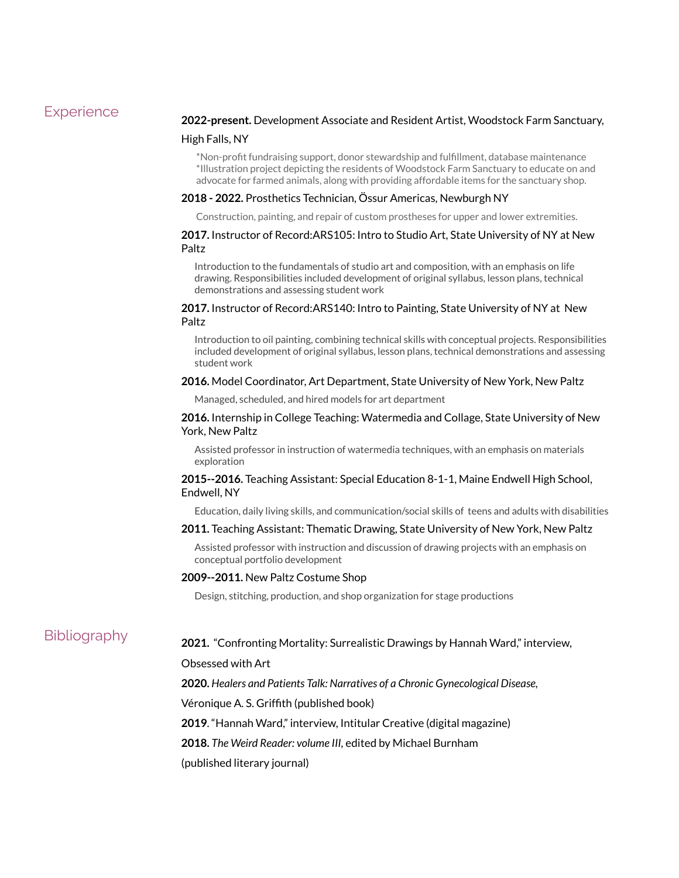# **Experience**

#### **2022-present.** Development Associate and Resident Artist, Woodstock Farm Sanctuary,

#### High Falls, NY

\*Non-profit fundraising support, donor stewardship and fulfillment, database maintenance \*Illustration project depicting the residents of Woodstock Farm Sanctuary to educate on and advocate for farmed animals, along with providing affordable items for the sanctuary shop.

#### **2018 - 2022.** Prosthetics Technician, Össur Americas, Newburgh NY

Construction, painting, and repair of custom prostheses for upper and lower extremities.

# **2017.** Instructor of Record:ARS105: Intro to Studio Art, State University of NY at New Paltz

Introduction to the fundamentals of studio art and composition, with an emphasis on life drawing. Responsibilities included development of original syllabus, lesson plans, technical demonstrations and assessing student work

# **2017.** Instructor of Record:ARS140: Intro to Painting, State University of NY at New Paltz

Introduction to oil painting, combining technical skills with conceptual projects. Responsibilities included development of original syllabus, lesson plans, technical demonstrations and assessing student work

#### **2016.** Model Coordinator, Art Department, State University of New York, New Paltz

Managed, scheduled, and hired models for art department

### **2016.** Internship in College Teaching: Watermedia and Collage, State University of New York, New Paltz

Assisted professor in instruction of watermedia techniques, with an emphasis on materials exploration

# **2015--2016.** Teaching Assistant: Special Education 8-1-1, Maine Endwell High School, Endwell, NY

Education, daily living skills, and communication/social skills of teens and adults with disabilities

### **2011.** Teaching Assistant: Thematic Drawing, State University of New York, New Paltz

Assisted professor with instruction and discussion of drawing projects with an emphasis on conceptual portfolio development

#### **2009--2011.** New Paltz Costume Shop

Design, stitching, production, and shop organization for stage productions

# **Bibliography**

# **2021.** "Confronting Mortality: Surrealistic Drawings by Hannah Ward," interview,

Obsessed with Art

**2020.** *Healers and Patients Talk: Narratives of a Chronic Gynecological Disease,*

Véronique A. S. Griffith (published book)

**2019**. "Hannah Ward," interview, Intitular Creative (digital magazine)

**2018.** *The Weird Reader: volume III,* edited by Michael Burnham

(published literary journal)